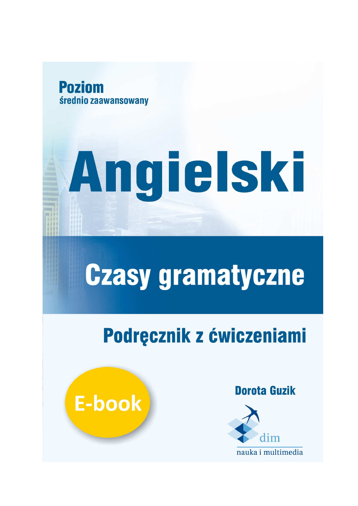

# Angielski

## **Czasy gramatyczne**

## Podręcznik z ćwiczeniami



**Dorota Guzik** 

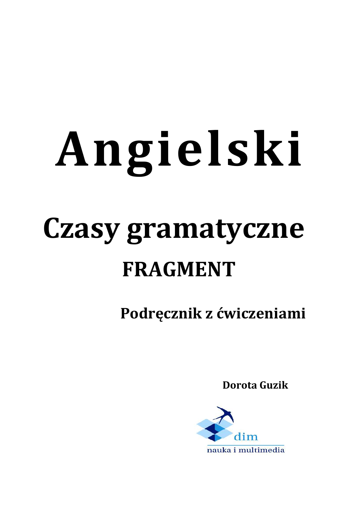# **Angielski Czasy gramatyczne**

## **FRAGMENT**

 **Podręcznik z ćwiczeniami** 

 **Dorota Guzik** 

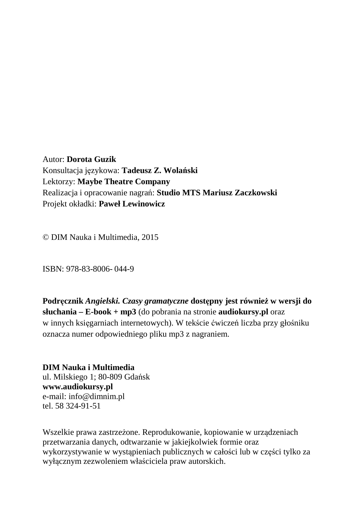Autor: **Dorota Guzik** Konsultacja językowa: **Tadeusz Z. Wolański**  Lektorzy: **Maybe Theatre Company**  Realizacja i opracowanie nagrań: **Studio MTS Mariusz Zaczkowski**  Projekt okładki: **Paweł Lewinowicz** 

© DIM Nauka i Multimedia, 2015

ISBN: 978-83-8006- 044-9

**Podręcznik** *Angielski. Czasy gramatyczne* **dostępny jest również w wersji do słuchania – E-book + mp3** (do pobrania na stronie **audiokursy.pl** oraz w innych księgarniach internetowych). W tekście ćwiczeń liczba przy głośniku oznacza numer odpowiedniego pliku mp3 z nagraniem.

**DIM Nauka i Multimedia**  ul. Milskiego 1; 80-809 Gdańsk **www.audiokursy.pl**  e-mail: info@dimnim.pl tel. 58 324-91-51

Wszelkie prawa zastrzeżone. Reprodukowanie, kopiowanie w urządzeniach przetwarzania danych, odtwarzanie w jakiejkolwiek formie oraz wykorzystywanie w wystąpieniach publicznych w całości lub w części tylko za wyłącznym zezwoleniem właściciela praw autorskich.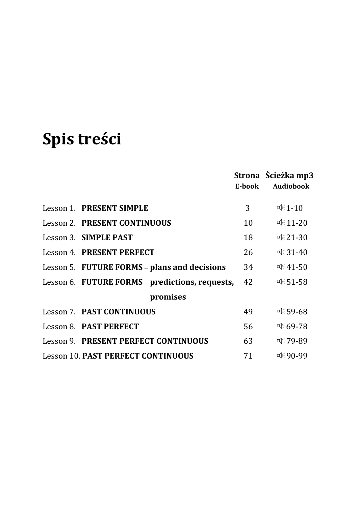## **Spis treści**

|                                                 | E-book | Strona Scieżka mp3<br><b>Audiobook</b> |
|-------------------------------------------------|--------|----------------------------------------|
| Lesson 1. PRESENT SIMPLE                        | 3      | $\leq 1-10$                            |
| Lesson 2. PRESENT CONTINUOUS                    | 10     | $\sqrt{2}$ 11-20                       |
| Lesson 3. SIMPLE PAST                           | 18     | $\sqrt{21-30}$                         |
| Lesson 4. PRESENT PERFECT                       | 26     | ਾ 31-40                                |
| Lesson 5. FUTURE FORMS - plans and decisions    | 34     | $\mathbb{R}41 - 50$                    |
| Lesson 6. FUTURE FORMS - predictions, requests, | 42     | ⊄ 51-58                                |
| promises                                        |        |                                        |
| Lesson 7. PAST CONTINUOUS                       | 49     | ⊄€ 59-68                               |
| Lesson 8. PAST PERFECT                          | 56     | र्वह69-78                              |
| Lesson 9. PRESENT PERFECT CONTINUOUS            | 63     | ⊄€ 79-89                               |
| <b>Lesson 10. PAST PERFECT CONTINUOUS</b>       | 71     | ਾ 90-99                                |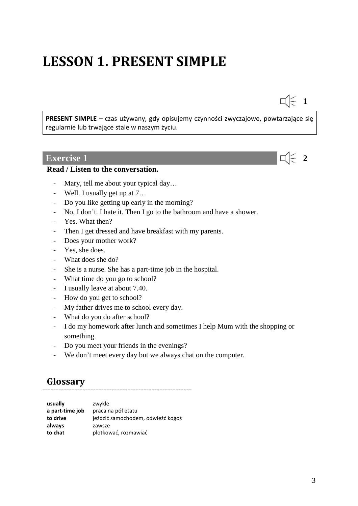## **LESSON 1. PRESENT SIMPLE**

**PRESENT SIMPLE** – czas używany, gdy opisujemy czynności zwyczajowe, powtarzające się regularnie lub trwające stale w naszym życiu.

#### **Exercise 1 2 2**

#### **Read / Listen to the conversation.**

- Mary, tell me about your typical day…
- Well. I usually get up at 7…
- Do you like getting up early in the morning?
- No, I don't. I hate it. Then I go to the bathroom and have a shower.
- Yes. What then?
- Then I get dressed and have breakfast with my parents.
- Does your mother work?
- Yes, she does.
- What does she do?
- She is a nurse. She has a part-time job in the hospital.
- What time do you go to school?
- I usually leave at about 7.40.
- How do you get to school?
- My father drives me to school every day.
- What do you do after school?
- I do my homework after lunch and sometimes I help Mum with the shopping or something.
- Do you meet your friends in the evenings?
- We don't meet every day but we always chat on the computer.

#### **Glossary**

| usually         | zwykle                            |
|-----------------|-----------------------------------|
| a part-time job | praca na pół etatu                |
| to drive        | jeździć samochodem, odwieźć kogoś |
| always          | zawsze                            |
| to chat         | plotkować, rozmawiać              |

---------------------------------------------------------------------------------------------

 $\Box$  1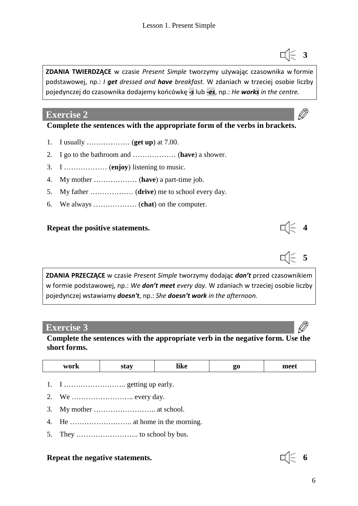**ZDANIA TWIERDZĄCE** w czasie *Present Simple* tworzymy używając czasownika w formie podstawowej, np.: *I get dressed and have breakfast*. W zdaniach w trzeciej osobie liczby pojedynczej do czasownika dodajemy końcówkę *-s* lub *-es*, np.: *He works in the centre.*

#### **Exercise 2**

#### **Complete the sentences with the appropriate form of the verbs in brackets.**

- 1. I usually ……………… (**get up**) at 7.00.
- 2. I go to the bathroom and ……………… (**have**) a shower.
- 3. I ……………… (**enjoy**) listening to music.
- 4. My mother ……………… (**have**) a part-time job.
- 5. My father ……………… (**drive**) me to school every day.
- 6. We always ……………… (**chat**) on the computer.

#### **Repeat the positive statements.**

**ZDANIA PRZECZĄCE** w czasie *Present Simple* tworzymy dodając *don't* przed czasownikiem w formie podstawowej, np.: *We don't meet every day.* W zdaniach w trzeciej osobie liczby pojedynczej wstawiamy *doesn't*, np.: *She doesn't work in the afternoon.*

#### **Exercise 3**

**Complete the sentences with the appropriate verb in the negative form. Use the short forms.** 

|  | work<br>$\mathbf{v}$ | <u>nna</u> | like |  | maa1<br>$\cdots$ |
|--|----------------------|------------|------|--|------------------|
|--|----------------------|------------|------|--|------------------|

- 1. I  $\dots$   $\dots$   $\dots$   $\dots$   $\dots$  getting up early.
- 2. We …………………….. every day.
- 3. My mother …………………….. at school.
- 4. He …………………….. at home in the morning.
- 5. They …………………….. to school by bus.

#### **Repeat the negative statements. 6**



- **5<br>乌**<br>白
	-

**3**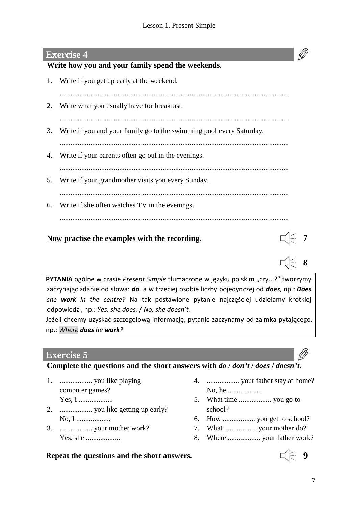#### **Exercise 4**

#### **Write how you and your family spend the weekends.**

1. Write if you get up early at the weekend. ............................................................................................................................... 2. Write what you usually have for breakfast. ............................................................................................................................... 3. Write if you and your family go to the swimming pool every Saturday. ............................................................................................................................... 4. Write if your parents often go out in the evenings. ............................................................................................................................... 5. Write if your grandmother visits you every Sunday. ............................................................................................................................... 6. Write if she often watches TV in the evenings. ...............................................................................................................................

#### Now practise the examples with the recording.

**PYTANIA** ogólne w czasie *Present Simple* tłumaczone w języku polskim "czy...?" tworzymy zaczynając zdanie od słowa: *do*, a w trzeciej osobie liczby pojedynczej od *does*, np.: *Does she work in the centre?* Na tak postawione pytanie najczęściej udzielamy krótkiej odpowiedzi, np.: *Yes, she does.* / *No, she doesn't.*

Jeżeli chcemy uzyskać szczegółową informację, pytanie zaczynamy od zaimka pytającego, np.: *Where does he work?*

#### **Exercise 5**

#### **Complete the questions and the short answers with** *do* **/** *don't* **/** *does* **/** *doesn't***.**

- 1. .................. you like playing computer games? Yes, I ...................
- 2. .................. you like getting up early? No, I ...................
- 3. .................. your mother work? Yes, she ...................
- 4. .................. your father stay at home? No, he ...................
- 5. What time .................. you go to school?
- 6. How .................. you get to school?
- 7. What .................. your mother do?
- 8. Where .................. your father work?

#### **Repeat the questions and the short answers.**  $\Box$   $\Box$  9



**8** 

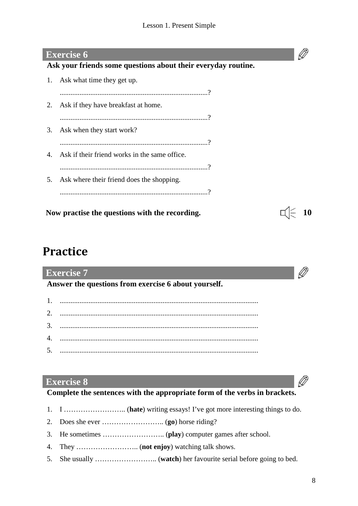#### **Exercise 6**

#### **Ask your friends some questions about their everyday routine.**

1. Ask what time they get up. ..................................................................................? 2. Ask if they have breakfast at home. ..................................................................................? 3. Ask when they start work? ..................................................................................? 4. Ask if their friend works in the same office. ..................................................................................? 5. Ask where their friend does the shopping. ..................................................................................?

Now practise the questions with the recording.  $\Box$   $\Box$  10



#### **Practice**

#### Ø **Exercise 7 Answer the questions from exercise 6 about yourself.**  1. .............................................................................................................. 2. .............................................................................................................. 3. .............................................................................................................. 4. .............................................................................................................. 5. ..............................................................................................................

#### **Exercise 8**

#### **Complete the sentences with the appropriate form of the verbs in brackets.**

- 1. I …………………….. (**hate**) writing essays! I've got more interesting things to do.
- 2. Does she ever …………………….. (**go**) horse riding?
- 3. He sometimes …………………….. (**play**) computer games after school.
- 4. They …………………….. (**not enjoy**) watching talk shows.
- 5. She usually …………………….. (**watch**) her favourite serial before going to bed.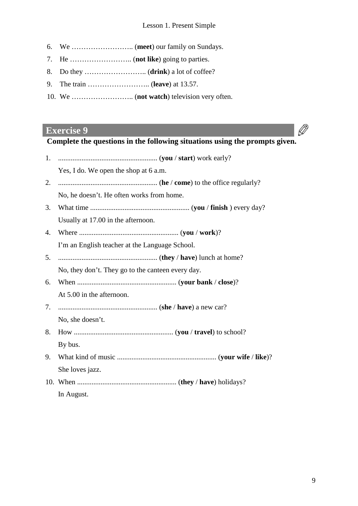- 6. We …………………….. (**meet**) our family on Sundays.
- 7. He …………………….. (**not like**) going to parties.
- 8. Do they …………………….. (**drink**) a lot of coffee?
- 9. The train …………………….. (**leave**) at 13.57.
- 10. We …………………….. (**not watch**) television very often.

#### **Exercise 9**

### $\oslash$

**Complete the questions in the following situations using the prompts given.** 

|    | Yes, I do. We open the shop at 6 a.m.                                                                                                                                                                                                                                                                                                   |
|----|-----------------------------------------------------------------------------------------------------------------------------------------------------------------------------------------------------------------------------------------------------------------------------------------------------------------------------------------|
| 2. |                                                                                                                                                                                                                                                                                                                                         |
|    | No, he doesn't. He often works from home.                                                                                                                                                                                                                                                                                               |
| 3. |                                                                                                                                                                                                                                                                                                                                         |
|    | Usually at 17.00 in the afternoon.                                                                                                                                                                                                                                                                                                      |
| 4. |                                                                                                                                                                                                                                                                                                                                         |
|    | I'm an English teacher at the Language School.                                                                                                                                                                                                                                                                                          |
| 5. |                                                                                                                                                                                                                                                                                                                                         |
|    | No, they don't. They go to the canteen every day.                                                                                                                                                                                                                                                                                       |
| 6. |                                                                                                                                                                                                                                                                                                                                         |
|    | At 5.00 in the afternoon.                                                                                                                                                                                                                                                                                                               |
| 7. |                                                                                                                                                                                                                                                                                                                                         |
|    | No, she doesn't.                                                                                                                                                                                                                                                                                                                        |
| 8. |                                                                                                                                                                                                                                                                                                                                         |
|    | By bus.                                                                                                                                                                                                                                                                                                                                 |
| 9. |                                                                                                                                                                                                                                                                                                                                         |
|    | She loves jazz.                                                                                                                                                                                                                                                                                                                         |
|    | 10. When $\ldots$ $\ldots$ $\ldots$ $\ldots$ $\ldots$ $\ldots$ $\ldots$ $\ldots$ $\ldots$ $\ldots$ $\ldots$ $\ldots$ $\ldots$ $\ldots$ $\ldots$ $\ldots$ $\ldots$ $\ldots$ $\ldots$ $\ldots$ $\ldots$ $\ldots$ $\ldots$ $\ldots$ $\ldots$ $\ldots$ $\ldots$ $\ldots$ $\ldots$ $\ldots$ $\ldots$ $\ldots$ $\ldots$ $\ldots$ $\ldots$ $\$ |
|    | In August.                                                                                                                                                                                                                                                                                                                              |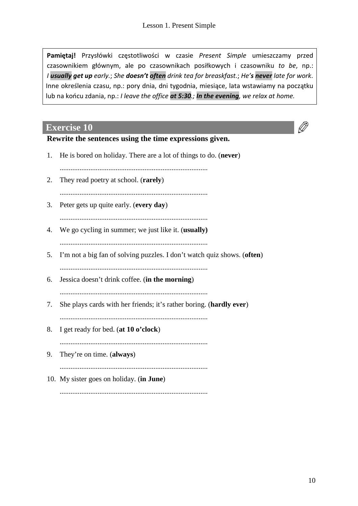**Pamiętaj!** Przysłówki częstotliwości w czasie *Present Simple* umieszczamy przed czasownikiem głównym, ale po czasownikach posiłkowych i czasowniku *to be*, np.: *I usually get up early.*; *She doesn't often drink tea for breaskfast.*; *He's never late for work*. Inne określenia czasu, np.: pory dnia, dni tygodnia, miesiące, lata wstawiamy na początku lub na końcu zdania, np.: *I leave the office at 5:30.; In the evening, we relax at home.*

#### **Exercise 10**

#### **Rewrite the sentences using the time expressions given.**

1. He is bored on holiday. There are a lot of things to do. (**never**) .................................................................................. 2. They read poetry at school. (**rarely**) .................................................................................. 3. Peter gets up quite early. (**every day**) .................................................................................. 4. We go cycling in summer; we just like it. (**usually)** .................................................................................. 5. I'm not a big fan of solving puzzles. I don't watch quiz shows. (**often**) .................................................................................. 6. Jessica doesn't drink coffee. (**in the morning**) .................................................................................. 7. She plays cards with her friends; it's rather boring. (**hardly ever**) .................................................................................. 8. I get ready for bed. (**at 10 o'clock**) .................................................................................. 9. They're on time. (**always**) .................................................................................. 10. My sister goes on holiday. (**in June**)

..................................................................................